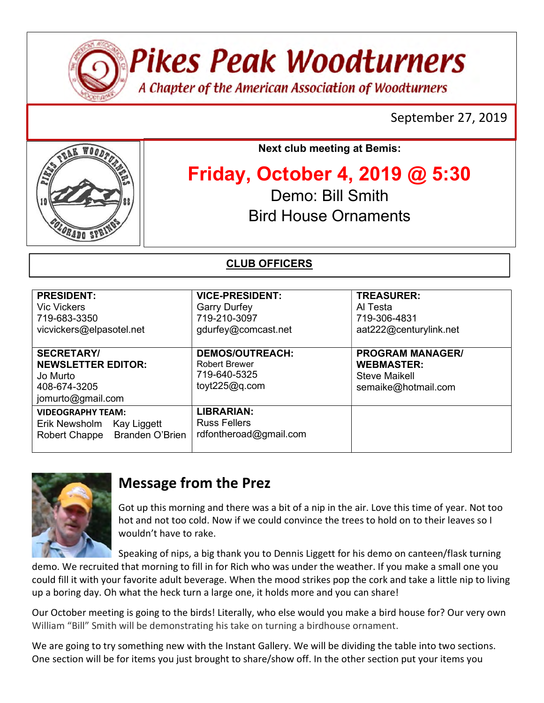

Pikes Peak Woodturners

A Chapter of the American Association of Woodturners

## September 27, 2019



Next club meeting at Bemis:

# Friday, October 4, 2019 @ 5:30

Demo: Bill Smith Bird House Ornaments

### CLUB OFFICERS

| <b>PRESIDENT:</b><br><b>Vic Vickers</b><br>719-683-3350<br>vicvickers@elpasotel.net             | <b>VICE-PRESIDENT:</b><br><b>Garry Durfey</b><br>719-210-3097<br>gdurfey@comcast.net | <b>TREASURER:</b><br>Al Testa<br>719-306-4831<br>aat222@centurylink.net                     |
|-------------------------------------------------------------------------------------------------|--------------------------------------------------------------------------------------|---------------------------------------------------------------------------------------------|
| <b>SECRETARY/</b><br><b>NEWSLETTER EDITOR:</b><br>Jo Murto<br>408-674-3205<br>jomurto@gmail.com | <b>DEMOS/OUTREACH:</b><br><b>Robert Brewer</b><br>719-640-5325<br>toyt225@q.com      | <b>PROGRAM MANAGER/</b><br><b>WEBMASTER:</b><br><b>Steve Maikell</b><br>semaike@hotmail.com |
| <b>VIDEOGRAPHY TEAM:</b><br>Erik Newsholm Kay Liggett<br>Robert Chappe Branden O'Brien          | <b>LIBRARIAN:</b><br><b>Russ Fellers</b><br>rdfontheroad@gmail.com                   |                                                                                             |



# Message from the Prez

Got up this morning and there was a bit of a nip in the air. Love this time of year. Not too hot and not too cold. Now if we could convince the trees to hold on to their leaves so I wouldn't have to rake.

Speaking of nips, a big thank you to Dennis Liggett for his demo on canteen/flask turning demo. We recruited that morning to fill in for Rich who was under the weather. If you make a small one you could fill it with your favorite adult beverage. When the mood strikes pop the cork and take a little nip to living up a boring day. Oh what the heck turn a large one, it holds more and you can share!

Our October meeting is going to the birds! Literally, who else would you make a bird house for? Our very own William "Bill" Smith will be demonstrating his take on turning a birdhouse ornament.

We are going to try something new with the Instant Gallery. We will be dividing the table into two sections. One section will be for items you just brought to share/show off. In the other section put your items you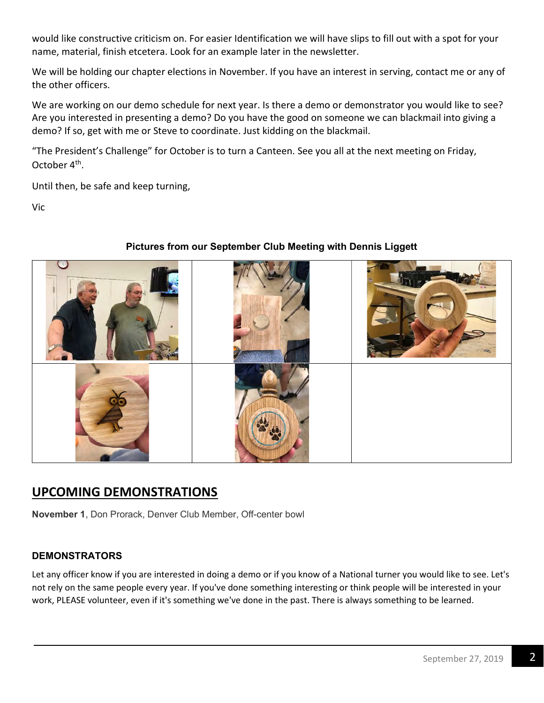would like constructive criticism on. For easier Identification we will have slips to fill out with a spot for your name, material, finish etcetera. Look for an example later in the newsletter.

We will be holding our chapter elections in November. If you have an interest in serving, contact me or any of the other officers.

We are working on our demo schedule for next year. Is there a demo or demonstrator you would like to see? Are you interested in presenting a demo? Do you have the good on someone we can blackmail into giving a demo? If so, get with me or Steve to coordinate. Just kidding on the blackmail.

"The President's Challenge" for October is to turn a Canteen. See you all at the next meeting on Friday, October 4<sup>th</sup>.

Until then, be safe and keep turning,

Vic



#### Pictures from our September Club Meeting with Dennis Liggett

## UPCOMING DEMONSTRATIONS

November 1, Don Prorack, Denver Club Member, Off-center bowl

#### DEMONSTRATORS

Let any officer know if you are interested in doing a demo or if you know of a National turner you would like to see. Let's not rely on the same people every year. If you've done something interesting or think people will be interested in your work, PLEASE volunteer, even if it's something we've done in the past. There is always something to be learned.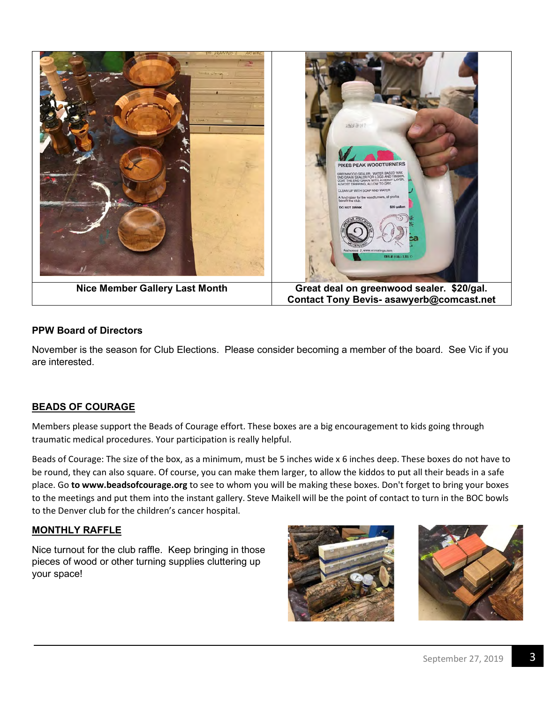

#### PPW Board of Directors

November is the season for Club Elections. Please consider becoming a member of the board. See Vic if you are interested.

#### BEADS OF COURAGE

Members please support the Beads of Courage effort. These boxes are a big encouragement to kids going through traumatic medical procedures. Your participation is really helpful.

Beads of Courage: The size of the box, as a minimum, must be 5 inches wide x 6 inches deep. These boxes do not have to be round, they can also square. Of course, you can make them larger, to allow the kiddos to put all their beads in a safe place. Go to www.beadsofcourage.org to see to whom you will be making these boxes. Don't forget to bring your boxes to the meetings and put them into the instant gallery. Steve Maikell will be the point of contact to turn in the BOC bowls to the Denver club for the children's cancer hospital.

#### MONTHLY RAFFLE

Nice turnout for the club raffle. Keep bringing in those pieces of wood or other turning supplies cluttering up your space!